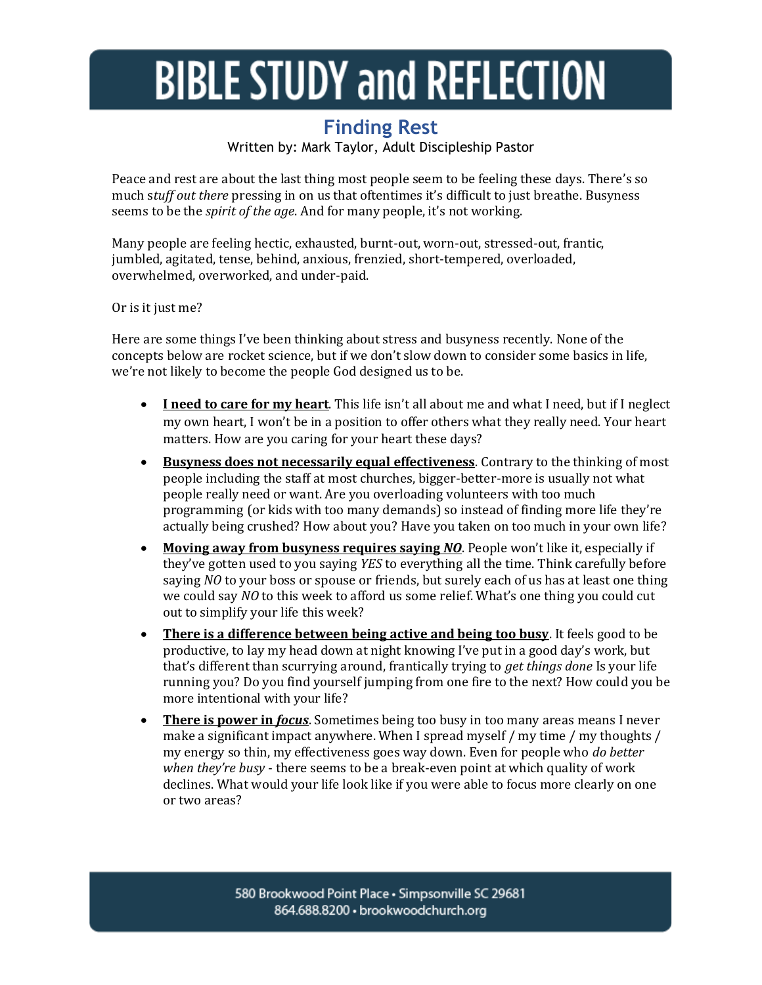## **BIBLE STUDY and REFLECTION**

## **Finding Rest**

Written by: Mark Taylor, Adult Discipleship Pastor

Peace and rest are about the last thing most people seem to be feeling these days. There's so much s*tuff out there* pressing in on us that oftentimes it's difficult to just breathe. Busyness seems to be the *spirit of the age*. And for many people, it's not working.

Many people are feeling hectic, exhausted, burnt-out, worn-out, stressed-out, frantic, jumbled, agitated, tense, behind, anxious, frenzied, short-tempered, overloaded, overwhelmed, overworked, and under-paid.

Or is it just me?

Here are some things I've been thinking about stress and busyness recently. None of the concepts below are rocket science, but if we don't slow down to consider some basics in life, we're not likely to become the people God designed us to be.

- **I need to care for my heart**. This life isn't all about me and what I need, but if I neglect my own heart, I won't be in a position to offer others what they really need. Your heart matters. How are you caring for your heart these days?
- **Busyness does not necessarily equal effectiveness**. Contrary to the thinking of most people including the staff at most churches, bigger-better-more is usually not what people really need or want. Are you overloading volunteers with too much programming (or kids with too many demands) so instead of finding more life they're actually being crushed? How about you? Have you taken on too much in your own life?
- **Moving away from busyness requires saying** *NO*. People won't like it, especially if they've gotten used to you saying *YES* to everything all the time. Think carefully before saying *NO* to your boss or spouse or friends, but surely each of us has at least one thing we could say *NO* to this week to afford us some relief. What's one thing you could cut out to simplify your life this week?
- **There is a difference between being active and being too busy**. It feels good to be productive, to lay my head down at night knowing I've put in a good day's work, but that's different than scurrying around, frantically trying to *get things done* Is your life running you? Do you find yourself jumping from one fire to the next? How could you be more intentional with your life?
- **There is power in** *focus*. Sometimes being too busy in too many areas means I never make a significant impact anywhere. When I spread myself / my time / my thoughts / my energy so thin, my effectiveness goes way down. Even for people who *do better when they're busy* - there seems to be a break-even point at which quality of work declines. What would your life look like if you were able to focus more clearly on one or two areas?